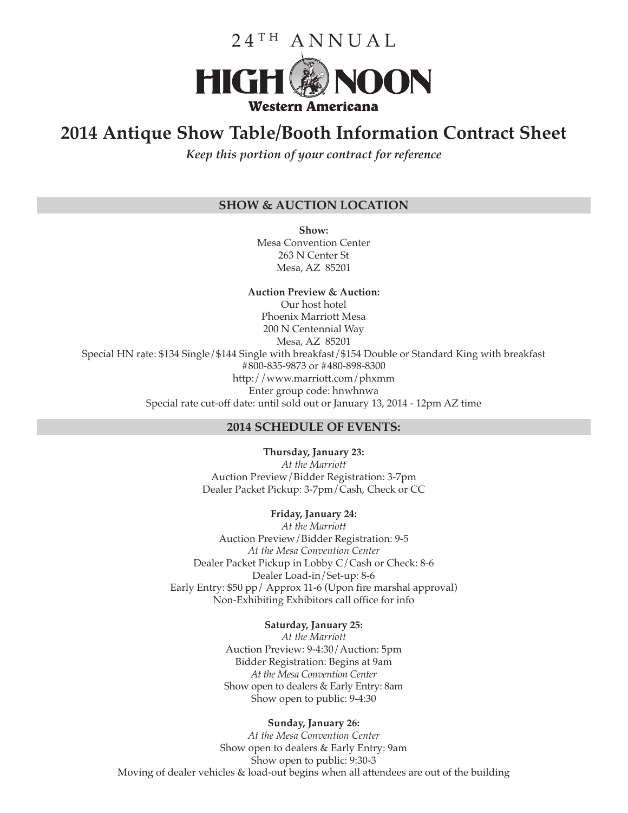

# **2014 Antique Show Table/Booth Information Contract Sheet**

*Keep this portion of your contract for reference*

## **SHOW & AUCTION LOCATION**

**Show:** Mesa Convention Center 263 N Center St Mesa, AZ 85201

## **Auction Preview & Auction:**

Our host hotel Phoenix Marriott Mesa 200 N Centennial Way Mesa, AZ 85201 Special HN rate: \$134 Single/\$144 Single with breakfast/\$154 Double or Standard King with breakfast #800-835-9873 or #480-898-8300 http://www.marriott.com/phxmm Enter group code: hnwhnwa Special rate cut-off date: until sold out or January 13, 2014 - 12pm AZ time

#### **2014 SCHEDULE OF EVENTS:**

**Thursday, January 23:** *At the Marriott* Auction Preview/Bidder Registration: 3-7pm Dealer Packet Pickup: 3-7pm/Cash, Check or CC

#### **Friday, January 24:**

*At the Marriott* Auction Preview/Bidder Registration: 9-5 *At the Mesa Convention Center* Dealer Packet Pickup in Lobby C/Cash or Check: 8-6 Dealer Load-in/Set-up: 8-6 Early Entry: \$50 pp/ Approx 11-6 (Upon fire marshal approval) Non-Exhibiting Exhibitors call office for info

#### **Saturday, January 25:**

*At the Marriott* Auction Preview: 9-4:30/Auction: 5pm Bidder Registration: Begins at 9am *At the Mesa Convention Center* Show open to dealers & Early Entry: 8am Show open to public: 9-4:30

#### **Sunday, January 26:**

*At the Mesa Convention Center* Show open to dealers & Early Entry: 9am Show open to public: 9:30-3 Moving of dealer vehicles & load-out begins when all attendees are out of the building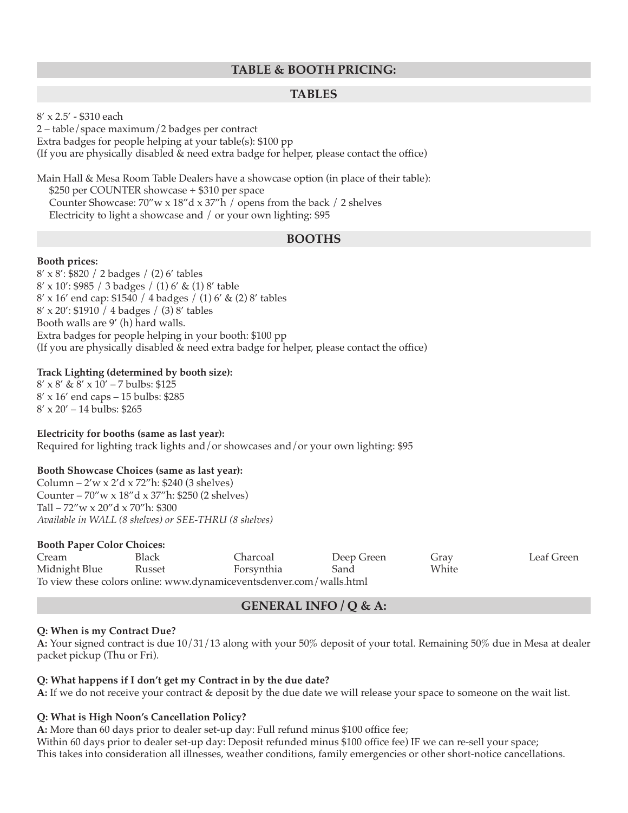## **TABLE & BOOTH PRICING:**

## **TABLES**

8' x 2.5' - \$310 each

2 – table/space maximum/2 badges per contract

Extra badges for people helping at your table(s): \$100 pp

(If you are physically disabled & need extra badge for helper, please contact the office)

Main Hall & Mesa Room Table Dealers have a showcase option (in place of their table): \$250 per COUNTER showcase + \$310 per space Counter Showcase: 70"w x 18"d x 37"h / opens from the back / 2 shelves Electricity to light a showcase and / or your own lighting: \$95

## **BOOTHS**

#### **Booth prices:**

8' x 8': \$820 / 2 badges / (2) 6' tables 8' x 10': \$985 / 3 badges / (1) 6' & (1) 8' table 8' x 16' end cap: \$1540 / 4 badges / (1) 6' & (2) 8' tables 8' x 20': \$1910 / 4 badges / (3) 8' tables Booth walls are 9' (h) hard walls. Extra badges for people helping in your booth: \$100 pp (If you are physically disabled & need extra badge for helper, please contact the office)

#### **Track Lighting (determined by booth size):**

8' x 8' & 8' x 10' – 7 bulbs: \$125 8' x 16' end caps – 15 bulbs: \$285  $8' \times 20' - 14$  bulbs: \$265

**Electricity for booths (same as last year):** Required for lighting track lights and/or showcases and/or your own lighting: \$95

### **Booth Showcase Choices (same as last year):**

Column – 2'w x 2'd x 72"h: \$240 (3 shelves) Counter – 70"w x 18"d x 37"h: \$250 (2 shelves) Tall – 72"w x 20"d x 70"h: \$300 *Available in WALL (8 shelves) or SEE-THRU (8 shelves)*

#### **Booth Paper Color Choices:**

| Cream                                                               | Black  | Charcoal   | Deep Green | Gray  | Leaf Green |
|---------------------------------------------------------------------|--------|------------|------------|-------|------------|
| Midnight Blue                                                       | Russet | Forsynthia | Sand       | White |            |
| To view these colors online: www.dynamiceventsdenver.com/walls.html |        |            |            |       |            |

### **GENERAL INFO / Q & A:**

#### **Q: When is my Contract Due?**

**A:** Your signed contract is due 10/31/13 along with your 50% deposit of your total. Remaining 50% due in Mesa at dealer packet pickup (Thu or Fri).

### **Q: What happens if I don't get my Contract in by the due date?**

**A:** If we do not receive your contract & deposit by the due date we will release your space to someone on the wait list.

### **Q: What is High Noon's Cancellation Policy?**

**A:** More than 60 days prior to dealer set-up day: Full refund minus \$100 office fee; Within 60 days prior to dealer set-up day: Deposit refunded minus \$100 office fee) IF we can re-sell your space; This takes into consideration all illnesses, weather conditions, family emergencies or other short-notice cancellations.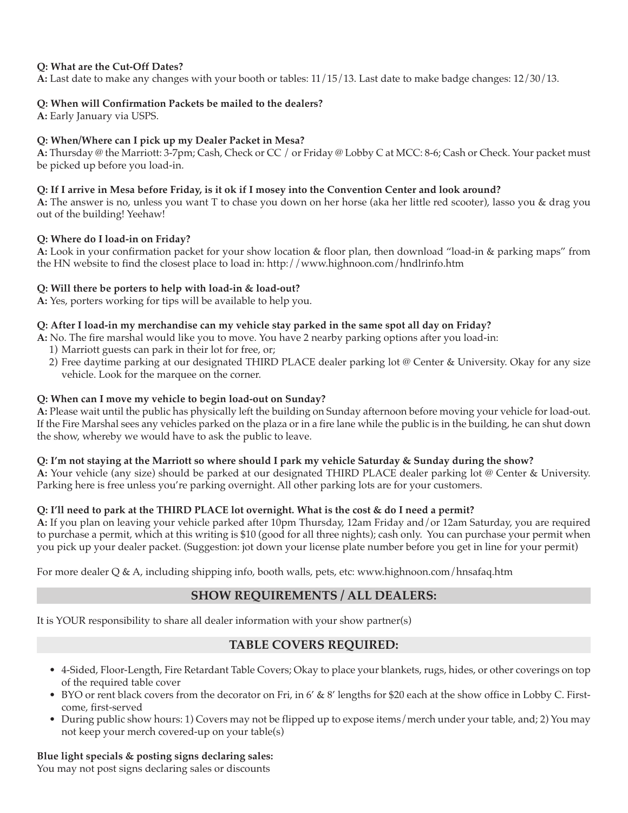## **Q: What are the Cut-Off Dates?**

**A:** Last date to make any changes with your booth or tables: 11/15/13. Last date to make badge changes: 12/30/13.

## **Q: When will Confirmation Packets be mailed to the dealers?**

**A:** Early January via USPS.

## **Q: When/Where can I pick up my Dealer Packet in Mesa?**

**A:** Thursday @ the Marriott: 3-7pm; Cash, Check or CC / or Friday @ Lobby C at MCC: 8-6; Cash or Check. Your packet must be picked up before you load-in.

## Q: If I arrive in Mesa before Friday, is it ok if I mosey into the Convention Center and look around?

**A:** The answer is no, unless you want T to chase you down on her horse (aka her little red scooter), lasso you & drag you out of the building! Yeehaw!

### **Q: Where do I load-in on Friday?**

**A:** Look in your confirmation packet for your show location & floor plan, then download "load-in & parking maps" from the HN website to find the closest place to load in: http://www.highnoon.com/hndlrinfo.htm

## **Q: Will there be porters to help with load-in & load-out?**

**A:** Yes, porters working for tips will be available to help you.

## Q: After I load-in my merchandise can my vehicle stay parked in the same spot all day on Friday?

- **A:** No. The fire marshal would like you to move. You have 2 nearby parking options after you load-in:
	- 1) Marriott guests can park in their lot for free, or;
	- 2) Free daytime parking at our designated THIRD PLACE dealer parking lot @ Center & University. Okay for any size vehicle. Look for the marquee on the corner.

### **Q: When can I move my vehicle to begin load-out on Sunday?**

**A:** Please wait until the public has physically left the building on Sunday afternoon before moving your vehicle for load-out. If the Fire Marshal sees any vehicles parked on the plaza or in a fire lane while the public is in the building, he can shut down the show, whereby we would have to ask the public to leave.

### Q: I'm not staying at the Marriott so where should I park my vehicle Saturday & Sunday during the show?

**A:** Your vehicle (any size) should be parked at our designated THIRD PLACE dealer parking lot @ Center & University. Parking here is free unless you're parking overnight. All other parking lots are for your customers.

## Q: I'll need to park at the THIRD PLACE lot overnight. What is the cost & do I need a permit?

**A:** If you plan on leaving your vehicle parked after 10pm Thursday, 12am Friday and/or 12am Saturday, you are required to purchase a permit, which at this writing is \$10 (good for all three nights); cash only. You can purchase your permit when you pick up your dealer packet. (Suggestion: jot down your license plate number before you get in line for your permit)

For more dealer Q & A, including shipping info, booth walls, pets, etc: www.highnoon.com/hnsafaq.htm

## **SHOW REQUIREMENTS / ALL DEALERS:**

It is YOUR responsibility to share all dealer information with your show partner(s)

## **TABLE COVERS REQUIRED:**

- 4-Sided, Floor-Length, Fire Retardant Table Covers; Okay to place your blankets, rugs, hides, or other coverings on top of the required table cover
- BYO or rent black covers from the decorator on Fri, in 6' & 8' lengths for \$20 each at the show office in Lobby C. Firstcome, first-served
- During public show hours: 1) Covers may not be flipped up to expose items/merch under your table, and; 2) You may not keep your merch covered-up on your table(s)

### **Blue light specials & posting signs declaring sales:**

You may not post signs declaring sales or discounts